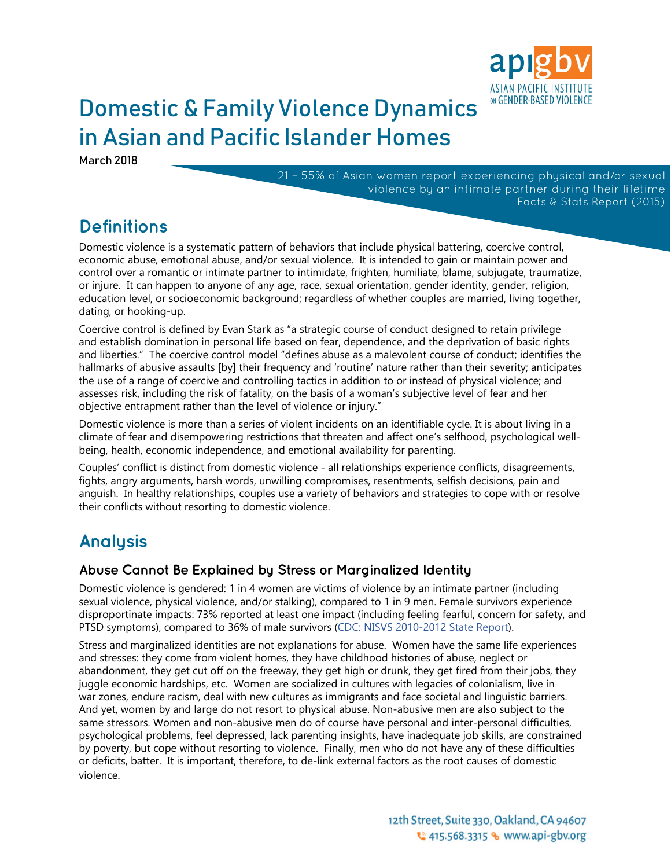

# Domestic & Family Violence Dynamics in Asian and Pacific Islander Homes

March 2018

21 – 55% of Asian women report experiencing physical and/or sexual violence by an intimate partner during their lifetime [Facts & Stats Report \(2015\)](https://www.api-gbv.org/resources/facts-stats-dv-api-homes/)

## **Definitions**

Domestic violence is a systematic pattern of behaviors that include physical battering, coercive control, economic abuse, emotional abuse, and/or sexual violence. It is intended to gain or maintain power and control over a romantic or intimate partner to intimidate, frighten, humiliate, blame, subjugate, traumatize, or injure. It can happen to anyone of any age, race, sexual orientation, gender identity, gender, religion, education level, or socioeconomic background; regardless of whether couples are married, living together, dating, or hooking-up.

Coercive control is defined by Evan Stark as "a strategic course of conduct designed to retain privilege and establish domination in personal life based on fear, dependence, and the deprivation of basic rights and liberties." The coercive control model "defines abuse as a malevolent course of conduct; identifies the hallmarks of abusive assaults [by] their frequency and 'routine' nature rather than their severity; anticipates the use of a range of coercive and controlling tactics in addition to or instead of physical violence; and assesses risk, including the risk of fatality, on the basis of a woman's subjective level of fear and her objective entrapment rather than the level of violence or injury."

Domestic violence is more than a series of violent incidents on an identifiable cycle. It is about living in a climate of fear and disempowering restrictions that threaten and affect one's selfhood, psychological wellbeing, health, economic independence, and emotional availability for parenting.

Couples' conflict is distinct from domestic violence - all relationships experience conflicts, disagreements, fights, angry arguments, harsh words, unwilling compromises, resentments, selfish decisions, pain and anguish. In healthy relationships, couples use a variety of behaviors and strategies to cope with or resolve their conflicts without resorting to domestic violence.

# **Analysis**

#### **Abuse Cannot Be Explained by Stress or Marginalized Identity**

Domestic violence is gendered: 1 in 4 women are victims of violence by an intimate partner (including sexual violence, physical violence, and/or stalking), compared to 1 in 9 men. Female survivors experience disproportinate impacts: 73% reported at least one impact (including feeling fearful, concern for safety, and PTSD symptoms), compared to 36% of male survivors [\(CDC:](https://www.cdc.gov/violenceprevention/pdf/NISVS-StateReportBook.pdf) NISVS 2010-2012 State Report).

Stress and marginalized identities are not explanations for abuse. Women have the same life experiences and stresses: they come from violent homes, they have childhood histories of abuse, neglect or abandonment, they get cut off on the freeway, they get high or drunk, they get fired from their jobs, they juggle economic hardships, etc. Women are socialized in cultures with legacies of colonialism, live in war zones, endure racism, deal with new cultures as immigrants and face societal and linguistic barriers. And yet, women by and large do not resort to physical abuse. Non-abusive men are also subject to the same stressors. Women and non-abusive men do of course have personal and inter-personal difficulties, psychological problems, feel depressed, lack parenting insights, have inadequate job skills, are constrained by poverty, but cope without resorting to violence. Finally, men who do not have any of these difficulties or deficits, batter. It is important, therefore, to de-link external factors as the root causes of domestic violence.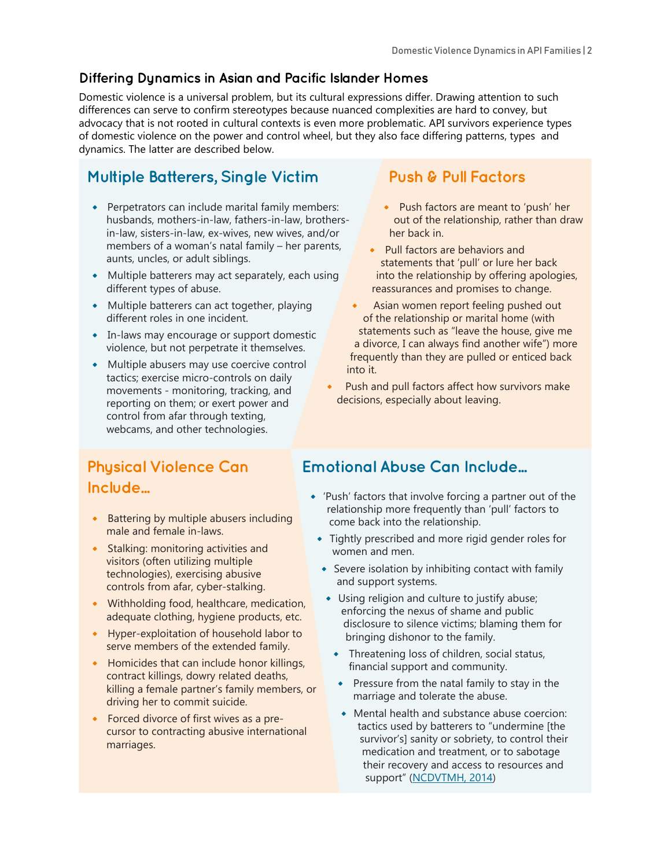#### **Differing Dynamics in Asian and Pacific Islander Homes**

Domestic violence is a universal problem, but its cultural expressions differ. Drawing attention to such differences can serve to confirm stereotypes because nuanced complexities are hard to convey, but advocacy that is not rooted in cultural contexts is even more problematic. API survivors experience types of domestic violence on the power and control wheel, but they also face differing patterns, types and dynamics. The latter are described below.

### **Multiple Batterers, Single Victim**

- Perpetrators can include marital family members: husbands, mothers-in-law, fathers-in-law, brothersin-law, sisters-in-law, ex-wives, new wives, and/or members of a woman's natal family – her parents, aunts, uncles, or adult siblings.
- Multiple batterers may act separately, each using different types of abuse.
- Multiple batterers can act together, playing different roles in one incident.
- In-laws may encourage or support domestic violence, but not perpetrate it themselves.
- Multiple abusers may use coercive control tactics; exercise micro-controls on daily movements - monitoring, tracking, and reporting on them; or exert power and control from afar through texting, webcams, and other technologies.

#### **Push & Pull Factors**

- Push factors are meant to 'push' her out of the relationship, rather than draw her back in.
- Pull factors are behaviors and statements that 'pull' or lure her back into the relationship by offering apologies, reassurances and promises to change.
- Asian women report feeling pushed out of the relationship or marital home (with statements such as "leave the house, give me a divorce, I can always find another wife") more frequently than they are pulled or enticed back into it.
- Push and pull factors affect how survivors make decisions, especially about leaving.

### **Physical Violence Can Include...**

- **•** Battering by multiple abusers including male and female in-laws.
- **•** Stalking: monitoring activities and visitors (often utilizing multiple technologies), exercising abusive controls from afar, cyber-stalking.
- Withholding food, healthcare, medication, adequate clothing, hygiene products, etc.
- Hyper-exploitation of household labor to serve members of the extended family.
- Homicides that can include honor killings, contract killings, dowry related deaths, killing a female partner's family members, or driving her to commit suicide.
- Forced divorce of first wives as a precursor to contracting abusive international marriages.

#### **Emotional Abuse Can Include...**

- 'Push' factors that involve forcing a partner out of the relationship more frequently than 'pull' factors to come back into the relationship.
- Tightly prescribed and more rigid gender roles for women and men.
- Severe isolation by inhibiting contact with family and support systems.
- Using religion and culture to justify abuse; enforcing the nexus of shame and public disclosure to silence victims; blaming them for bringing dishonor to the family.
	- $\bullet$  Threatening loss of children, social status, financial support and community.
	- Pressure from the natal family to stay in the marriage and tolerate the abuse.
	- Mental health and substance abuse coercion: tactics used by batterers to "undermine [the survivor's] sanity or sobriety, to control their medication and treatment, or to sabotage their recovery and access to resources and support" ([NCDVTMH, 2014](http://www.nationalcenterdvtraumamh.org/publications-products/mental-health-and-substance-use-coercion-surveys-report/))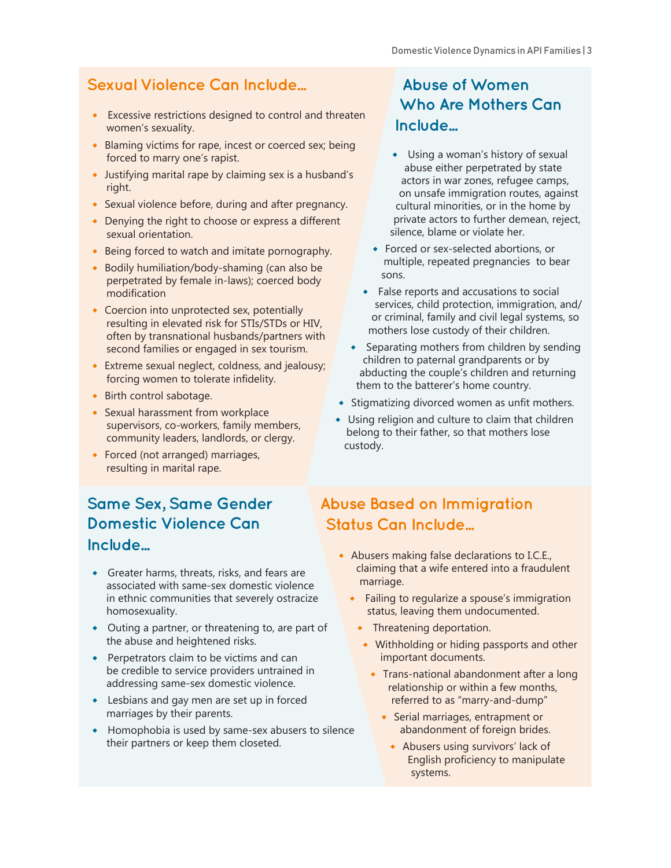#### **Sexual Violence Can Include...**

- Excessive restrictions designed to control and threaten women's sexuality.
- Blaming victims for rape, incest or coerced sex; being forced to marry one's rapist.
- Justifying marital rape by claiming sex is a husband's right.
- Sexual violence before, during and after pregnancy.
- Denying the right to choose or express a different sexual orientation.
- Being forced to watch and imitate pornography.
- Bodily humiliation/body-shaming (can also be perpetrated by female in-laws); coerced body modification
- Coercion into unprotected sex, potentially resulting in elevated risk for STIs/STDs or HIV, often by transnational husbands/partners with second families or engaged in sex tourism.
- $\bullet$  Extreme sexual neglect, coldness, and jealousy; forcing women to tolerate infidelity.
- Birth control sabotage.
- Sexual harassment from workplace supervisors, co-workers, family members, community leaders, landlords, or clergy.
- Forced (not arranged) marriages, resulting in marital rape.

#### **Same Sex, Same Gender Domestic Violence Can Include...**

- Greater harms, threats, risks, and fears are associated with same-sex domestic violence in ethnic communities that severely ostracize homosexuality.
- Outing a partner, or threatening to, are part of the abuse and heightened risks.
- Perpetrators claim to be victims and can be credible to service providers untrained in addressing same-sex domestic violence.
- Lesbians and gay men are set up in forced marriages by their parents.
- Homophobia is used by same-sex abusers to silence their partners or keep them closeted.

#### **Abuse of Women Who Are Mothers Can Include...**

- Using a woman's history of sexual abuse either perpetrated by state actors in war zones, refugee camps, on unsafe immigration routes, against cultural minorities, or in the home by private actors to further demean, reject, silence, blame or violate her.
- Forced or sex-selected abortions, or multiple, repeated pregnancies to bear sons.
- **•** False reports and accusations to social services, child protection, immigration, and/ or criminal, family and civil legal systems, so mothers lose custody of their children.
- Separating mothers from children by sending children to paternal grandparents or by abducting the couple's children and returning them to the batterer's home country.
- Stigmatizing divorced women as unfit mothers.
- Using religion and culture to claim that children belong to their father, so that mothers lose custody.

## **Abuse Based on Immigration Status Can Include...**

- Abusers making false declarations to I.C.E., claiming that a wife entered into a fraudulent marriage.
	- $\bullet$  Failing to regularize a spouse's immigration status, leaving them undocumented.
		- Threatening deportation.
		- Withholding or hiding passports and other important documents.
			- Trans-national abandonment after a long relationship or within a few months, referred to as "marry-and-dump"
				- **•** Serial marriages, entrapment or abandonment of foreign brides.
					- Abusers using survivors' lack of English proficiency to manipulate systems.